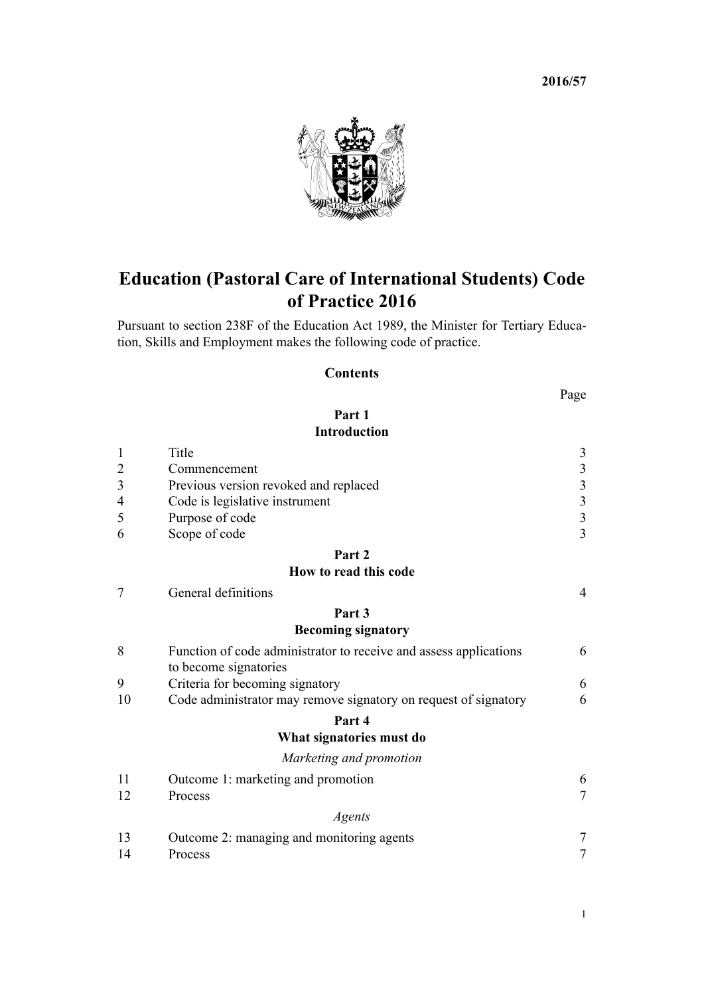**2016/57**



# **Education (Pastoral Care of International Students) Code of Practice 2016**

Pursuant to [section 238F](http://prd-lgnz-nlb.prd.pco.net.nz/pdflink.aspx?id=DLM185927) of the Education Act 1989, the Minister for Tertiary Education, Skills and Employment makes the following code of practice.

## **Contents**

| ۰.<br>۰. |
|----------|
|----------|

## **[Part 1](#page-2-0) [Introduction](#page-2-0)**

| $\mathbf{1}$   | Title                                                             | $\mathfrak{Z}$          |
|----------------|-------------------------------------------------------------------|-------------------------|
| $\overline{c}$ | Commencement                                                      | $\mathfrak{Z}$          |
| $\overline{3}$ | Previous version revoked and replaced                             | $\overline{\mathbf{3}}$ |
| 4              | Code is legislative instrument                                    | $\overline{\mathbf{3}}$ |
| 5              | Purpose of code                                                   | $\overline{\mathbf{3}}$ |
| 6              | Scope of code                                                     | 3                       |
|                | Part 2                                                            |                         |
|                | How to read this code                                             |                         |
| 7              | General definitions                                               | $\overline{4}$          |
|                | Part 3                                                            |                         |
|                | <b>Becoming signatory</b>                                         |                         |
| 8              | Function of code administrator to receive and assess applications | 6                       |
|                | to become signatories                                             |                         |
| 9              | Criteria for becoming signatory                                   | 6                       |
| 10             | Code administrator may remove signatory on request of signatory   | 6                       |
|                | Part 4                                                            |                         |
|                | What signatories must do                                          |                         |
|                | Marketing and promotion                                           |                         |
| 11             | Outcome 1: marketing and promotion                                | 6                       |
| 12             | Process                                                           | $\overline{7}$          |
|                | Agents                                                            |                         |
| 13             | Outcome 2: managing and monitoring agents                         | $\overline{7}$          |
| 14             | Process                                                           | $\overline{7}$          |
|                |                                                                   |                         |

1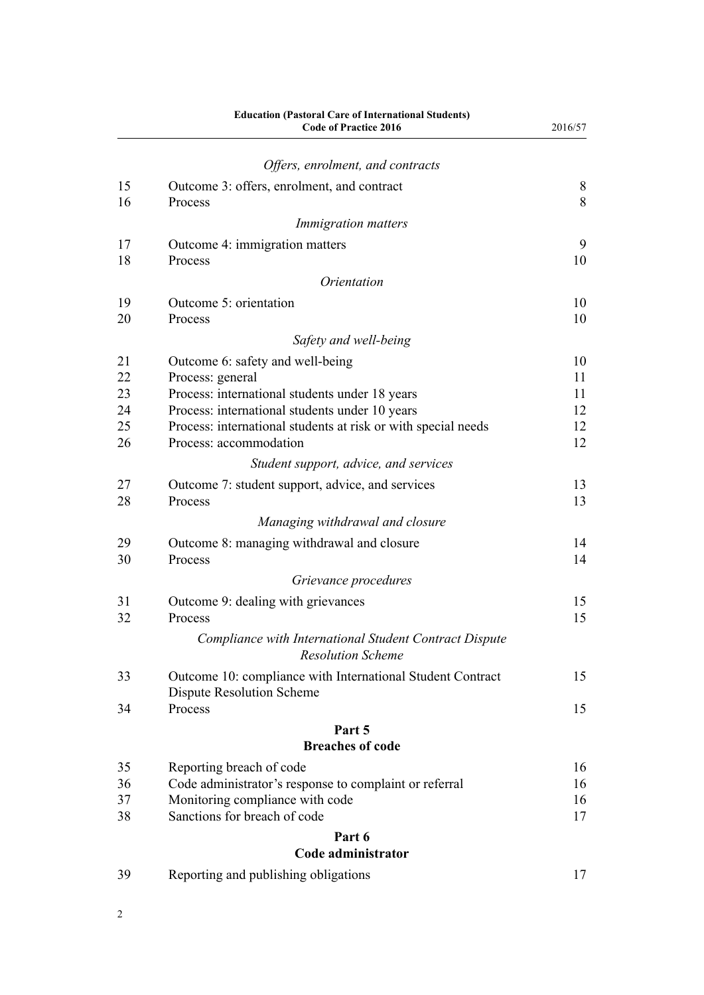|    | <b>Education (Pastoral Care of International Students)</b><br><b>Code of Practice 2016</b> | 2016/57 |
|----|--------------------------------------------------------------------------------------------|---------|
|    | Offers, enrolment, and contracts                                                           |         |
| 15 | Outcome 3: offers, enrolment, and contract                                                 | 8       |
| 16 | Process                                                                                    | 8       |
|    | <i>Immigration matters</i>                                                                 |         |
| 17 | Outcome 4: immigration matters                                                             | 9       |
| 18 | Process                                                                                    | 10      |
|    | <i><u><b>Orientation</b></u></i>                                                           |         |
| 19 | Outcome 5: orientation                                                                     | 10      |
| 20 | Process                                                                                    | 10      |
|    | Safety and well-being                                                                      |         |
| 21 | Outcome 6: safety and well-being                                                           | 10      |
| 22 | Process: general                                                                           | 11      |
| 23 | Process: international students under 18 years                                             | 11      |
| 24 | Process: international students under 10 years                                             | 12      |
| 25 | Process: international students at risk or with special needs                              | 12      |
| 26 | Process: accommodation                                                                     | 12      |
|    | Student support, advice, and services                                                      |         |
| 27 | Outcome 7: student support, advice, and services                                           | 13      |
| 28 | Process                                                                                    | 13      |
|    | Managing withdrawal and closure                                                            |         |
| 29 | Outcome 8: managing withdrawal and closure                                                 | 14      |
| 30 | Process                                                                                    | 14      |
|    | Grievance procedures                                                                       |         |
| 31 | Outcome 9: dealing with grievances                                                         | 15      |
| 32 | Process                                                                                    | 15      |
|    | Compliance with International Student Contract Dispute<br><b>Resolution Scheme</b>         |         |
| 33 | Outcome 10: compliance with International Student Contract                                 | 15      |
|    | <b>Dispute Resolution Scheme</b>                                                           |         |
| 34 | Process                                                                                    | 15      |
|    | Part 5                                                                                     |         |
|    | <b>Breaches of code</b>                                                                    |         |
| 35 | Reporting breach of code                                                                   | 16      |
| 36 | Code administrator's response to complaint or referral                                     | 16      |
| 37 | Monitoring compliance with code                                                            | 16      |
| 38 | Sanctions for breach of code                                                               | 17      |
|    | Part 6                                                                                     |         |
|    | Code administrator                                                                         |         |
| 39 | Reporting and publishing obligations                                                       | 17      |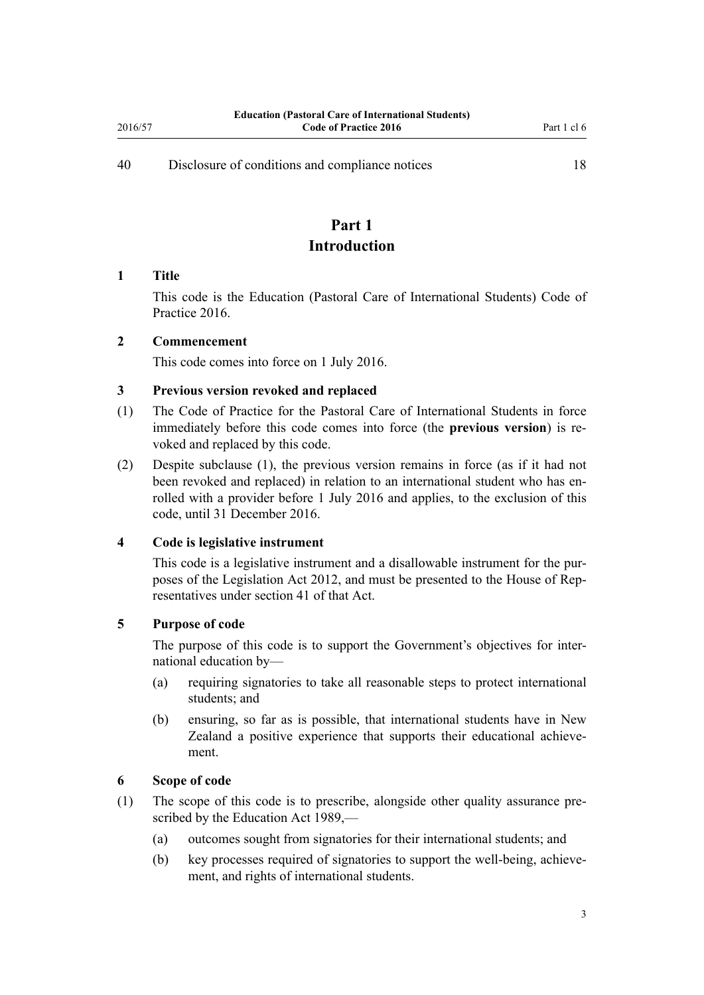<span id="page-2-0"></span>[40](#page-17-0) [Disclosure of conditions and compliance notices](#page-17-0) [18](#page-17-0)

## **Part 1 Introduction**

#### **1 Title**

This code is the Education (Pastoral Care of International Students) Code of Practice 2016.

## **2 Commencement**

This code comes into force on 1 July 2016.

## **3 Previous version revoked and replaced**

- (1) The Code of Practice for the Pastoral Care of International Students in force immediately before this code comes into force (the **previous version**) is revoked and replaced by this code.
- (2) Despite subclause (1), the previous version remains in force (as if it had not been revoked and replaced) in relation to an international student who has enrolled with a provider before 1 July 2016 and applies, to the exclusion of this code, until 31 December 2016.

## **4 Code is legislative instrument**

This code is a legislative instrument and a disallowable instrument for the purposes of the [Legislation Act 2012,](http://prd-lgnz-nlb.prd.pco.net.nz/pdflink.aspx?id=DLM2997643) and must be presented to the House of Representatives under [section 41](http://prd-lgnz-nlb.prd.pco.net.nz/pdflink.aspx?id=DLM2998573) of that Act.

## **5 Purpose of code**

The purpose of this code is to support the Government's objectives for international education by—

- (a) requiring signatories to take all reasonable steps to protect international students; and
- (b) ensuring, so far as is possible, that international students have in New Zealand a positive experience that supports their educational achievement.

## **6 Scope of code**

- (1) The scope of this code is to prescribe, alongside other quality assurance prescribed by the [Education Act 1989,](http://prd-lgnz-nlb.prd.pco.net.nz/pdflink.aspx?id=DLM175958)—
	- (a) outcomes sought from signatories for their international students; and
	- (b) key processes required of signatories to support the well-being, achievement, and rights of international students.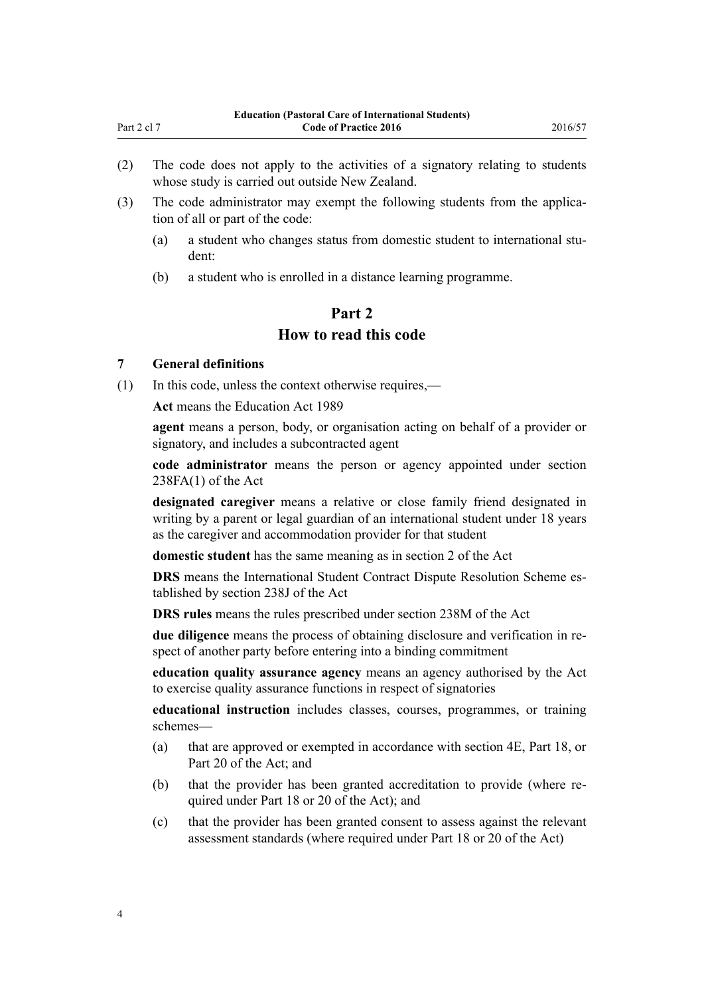- <span id="page-3-0"></span>(2) The code does not apply to the activities of a signatory relating to students whose study is carried out outside New Zealand.
- (3) The code administrator may exempt the following students from the application of all or part of the code:
	- (a) a student who changes status from domestic student to international student:
	- (b) a student who is enrolled in a distance learning programme.

## **Part 2 How to read this code**

#### **7 General definitions**

(1) In this code, unless the context otherwise requires,—

**Act** means the [Education Act 1989](http://prd-lgnz-nlb.prd.pco.net.nz/pdflink.aspx?id=DLM175958)

**agent** means a person, body, or organisation acting on behalf of a provider or signatory, and includes a subcontracted agent

**code administrator** means the person or agency appointed under section 238FA(1) of the Act

**designated caregiver** means a relative or close family friend designated in writing by a parent or legal guardian of an international student under 18 years as the caregiver and accommodation provider for that student

**domestic student** has the same meaning as in [section 2](http://prd-lgnz-nlb.prd.pco.net.nz/pdflink.aspx?id=DLM175965) of the Act

**DRS** means the International Student Contract Dispute Resolution Scheme established by section 238J of the Act

**DRS rules** means the rules prescribed under section 238M of the Act

**due diligence** means the process of obtaining disclosure and verification in respect of another party before entering into a binding commitment

**education quality assurance agency** means an agency authorised by the Act to exercise quality assurance functions in respect of signatories

**educational instruction** includes classes, courses, programmes, or training schemes—

- (a) that are approved or exempted in accordance with [section 4E,](http://prd-lgnz-nlb.prd.pco.net.nz/pdflink.aspx?id=DLM3486146) [Part 18,](http://prd-lgnz-nlb.prd.pco.net.nz/pdflink.aspx?id=DLM185734) or [Part 20](http://prd-lgnz-nlb.prd.pco.net.nz/pdflink.aspx?id=DLM185966) of the Act; and
- (b) that the provider has been granted accreditation to provide (where required under [Part 18](http://prd-lgnz-nlb.prd.pco.net.nz/pdflink.aspx?id=DLM185734) or [20](http://prd-lgnz-nlb.prd.pco.net.nz/pdflink.aspx?id=DLM185966) of the Act); and
- (c) that the provider has been granted consent to assess against the relevant assessment standards (where required under [Part 18](http://prd-lgnz-nlb.prd.pco.net.nz/pdflink.aspx?id=DLM185734) or [20](http://prd-lgnz-nlb.prd.pco.net.nz/pdflink.aspx?id=DLM185966) of the Act)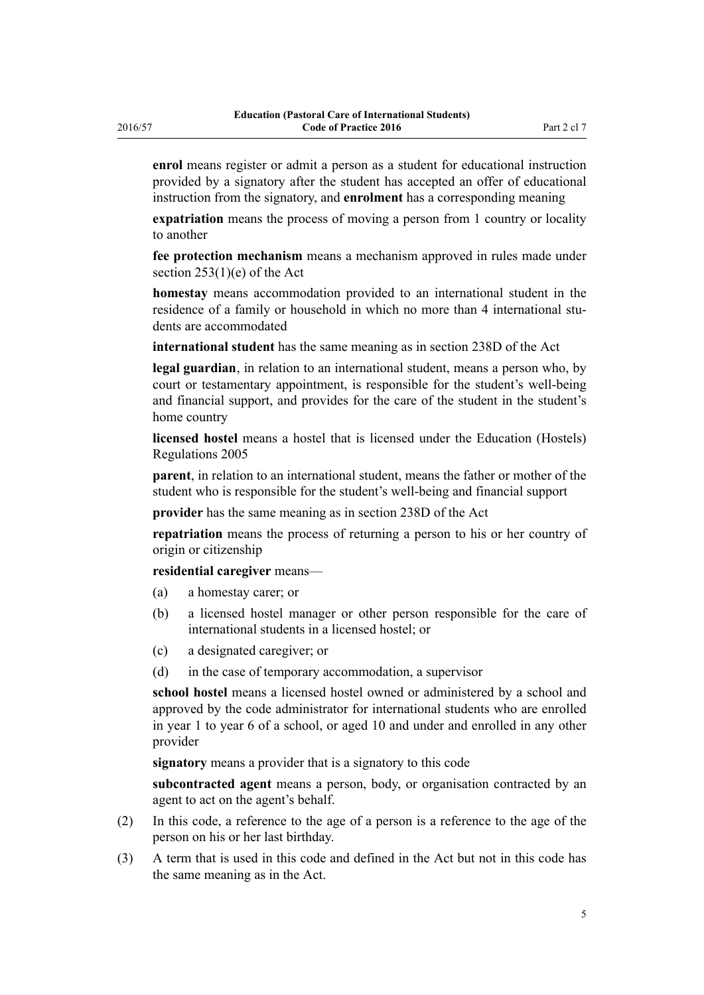**enrol** means register or admit a person as a student for educational instruction provided by a signatory after the student has accepted an offer of educational instruction from the signatory, and **enrolment** has a corresponding meaning

**expatriation** means the process of moving a person from 1 country or locality to another

**fee protection mechanism** means a mechanism approved in rules made under [section 253\(1\)\(e\)](http://prd-lgnz-nlb.prd.pco.net.nz/pdflink.aspx?id=DLM186208) of the Act

**homestay** means accommodation provided to an international student in the residence of a family or household in which no more than 4 international students are accommodated

**international student** has the same meaning as in [section 238D](http://prd-lgnz-nlb.prd.pco.net.nz/pdflink.aspx?id=DLM185907) of the Act

**legal guardian**, in relation to an international student, means a person who, by court or testamentary appointment, is responsible for the student's well-being and financial support, and provides for the care of the student in the student's home country

**licensed hostel** means a hostel that is licensed under the [Education \(Hostels\)](http://prd-lgnz-nlb.prd.pco.net.nz/pdflink.aspx?id=DLM362024) [Regulations 2005](http://prd-lgnz-nlb.prd.pco.net.nz/pdflink.aspx?id=DLM362024)

**parent**, in relation to an international student, means the father or mother of the student who is responsible for the student's well-being and financial support

**provider** has the same meaning as in [section 238D](http://prd-lgnz-nlb.prd.pco.net.nz/pdflink.aspx?id=DLM185907) of the Act

**repatriation** means the process of returning a person to his or her country of origin or citizenship

**residential caregiver** means—

- (a) a homestay carer; or
- (b) a licensed hostel manager or other person responsible for the care of international students in a licensed hostel; or
- (c) a designated caregiver; or
- (d) in the case of temporary accommodation, a supervisor

**school hostel** means a licensed hostel owned or administered by a school and approved by the code administrator for international students who are enrolled in year 1 to year 6 of a school, or aged 10 and under and enrolled in any other provider

**signatory** means a provider that is a signatory to this code

**subcontracted agent** means a person, body, or organisation contracted by an agent to act on the agent's behalf.

- (2) In this code, a reference to the age of a person is a reference to the age of the person on his or her last birthday.
- (3) A term that is used in this code and defined in the Act but not in this code has the same meaning as in the Act.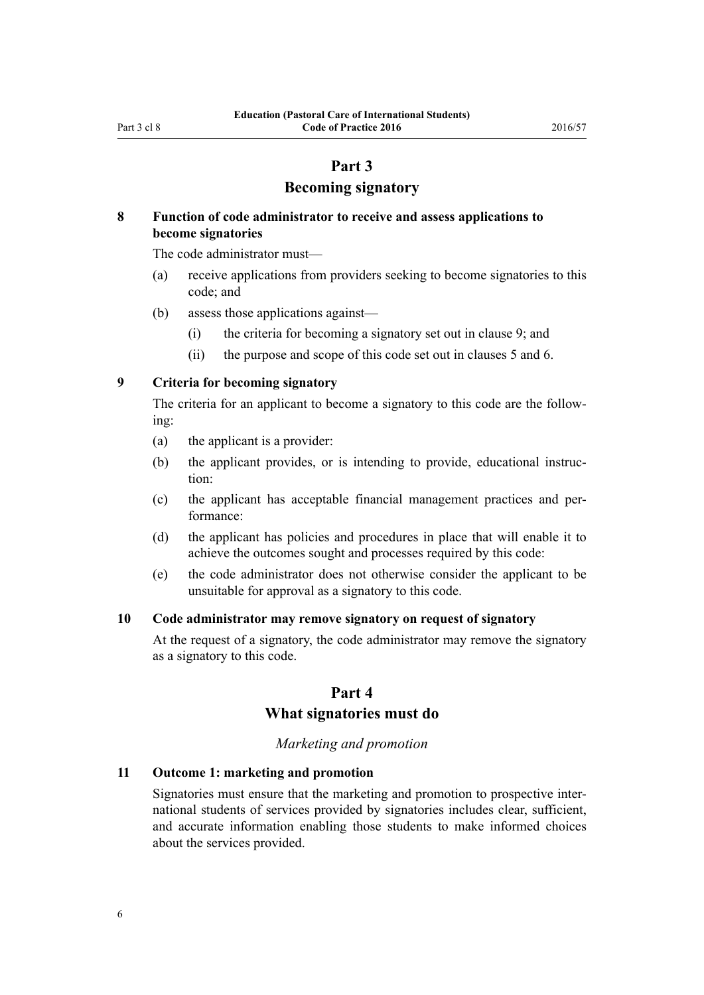## **Part 3**

## **Becoming signatory**

## <span id="page-5-0"></span>**8 Function of code administrator to receive and assess applications to become signatories**

The code administrator must—

- (a) receive applications from providers seeking to become signatories to this code; and
- (b) assess those applications against—
	- (i) the criteria for becoming a signatory set out in clause 9; and
	- (ii) the purpose and scope of this code set out in [clauses 5](#page-2-0) and [6](#page-2-0).

**9 Criteria for becoming signatory**

The criteria for an applicant to become a signatory to this code are the following:

- (a) the applicant is a provider:
- (b) the applicant provides, or is intending to provide, educational instruction:
- (c) the applicant has acceptable financial management practices and performance:
- (d) the applicant has policies and procedures in place that will enable it to achieve the outcomes sought and processes required by this code:
- (e) the code administrator does not otherwise consider the applicant to be unsuitable for approval as a signatory to this code.

### **10 Code administrator may remove signatory on request of signatory**

At the request of a signatory, the code administrator may remove the signatory as a signatory to this code.

## **Part 4 What signatories must do**

## *Marketing and promotion*

## **11 Outcome 1: marketing and promotion**

Signatories must ensure that the marketing and promotion to prospective international students of services provided by signatories includes clear, sufficient, and accurate information enabling those students to make informed choices about the services provided.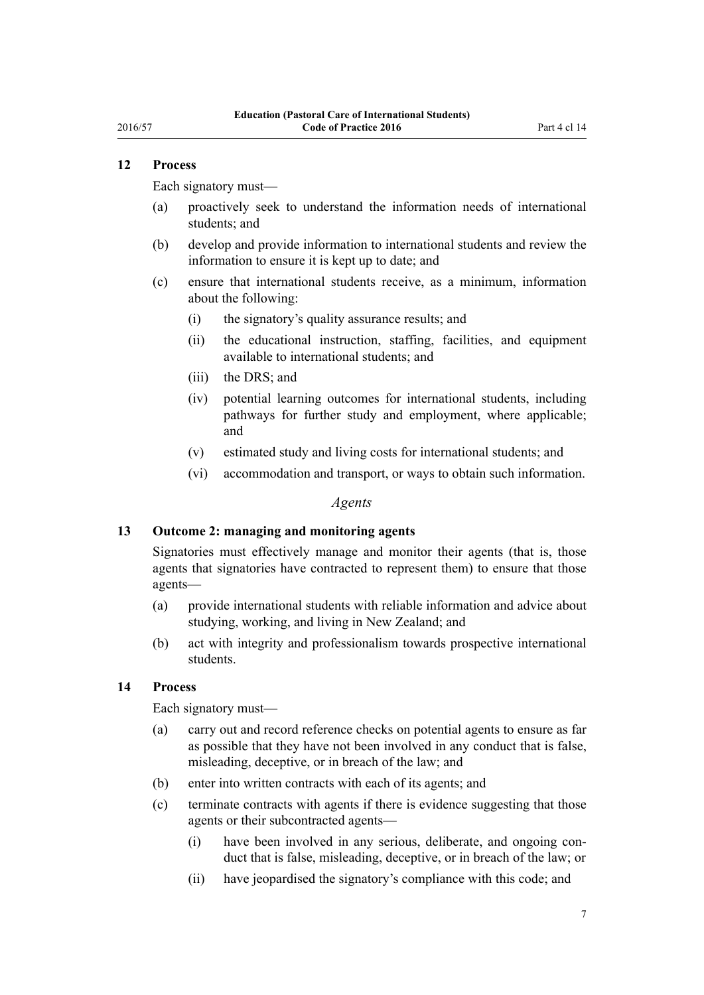## <span id="page-6-0"></span>**12 Process**

Each signatory must—

- (a) proactively seek to understand the information needs of international students; and
- (b) develop and provide information to international students and review the information to ensure it is kept up to date; and
- (c) ensure that international students receive, as a minimum, information about the following:
	- (i) the signatory's quality assurance results; and
	- (ii) the educational instruction, staffing, facilities, and equipment available to international students; and
	- (iii) the DRS; and
	- (iv) potential learning outcomes for international students, including pathways for further study and employment, where applicable; and
	- (v) estimated study and living costs for international students; and
	- (vi) accommodation and transport, or ways to obtain such information.

### *Agents*

#### **13 Outcome 2: managing and monitoring agents**

Signatories must effectively manage and monitor their agents (that is, those agents that signatories have contracted to represent them) to ensure that those agents—

- (a) provide international students with reliable information and advice about studying, working, and living in New Zealand; and
- (b) act with integrity and professionalism towards prospective international students.

#### **14 Process**

Each signatory must—

- (a) carry out and record reference checks on potential agents to ensure as far as possible that they have not been involved in any conduct that is false, misleading, deceptive, or in breach of the law; and
- (b) enter into written contracts with each of its agents; and
- (c) terminate contracts with agents if there is evidence suggesting that those agents or their subcontracted agents—
	- (i) have been involved in any serious, deliberate, and ongoing conduct that is false, misleading, deceptive, or in breach of the law; or
	- (ii) have jeopardised the signatory's compliance with this code; and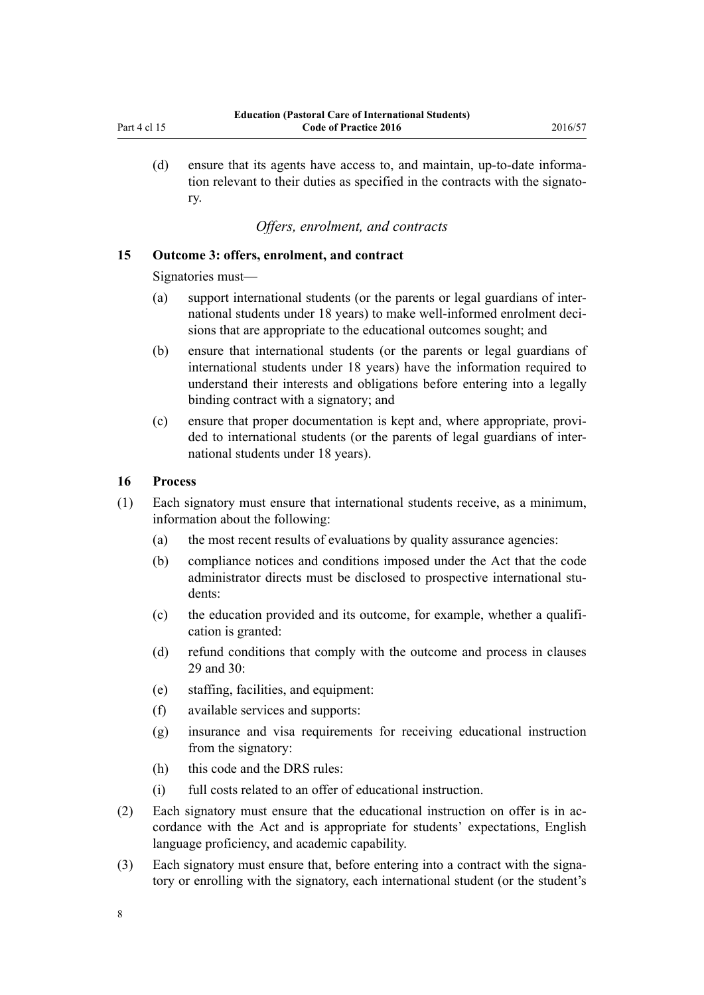- 
- <span id="page-7-0"></span>(d) ensure that its agents have access to, and maintain, up-to-date information relevant to their duties as specified in the contracts with the signatory.

## *Offers, enrolment, and contracts*

#### **15 Outcome 3: offers, enrolment, and contract**

Signatories must—

- (a) support international students (or the parents or legal guardians of international students under 18 years) to make well-informed enrolment decisions that are appropriate to the educational outcomes sought; and
- (b) ensure that international students (or the parents or legal guardians of international students under 18 years) have the information required to understand their interests and obligations before entering into a legally binding contract with a signatory; and
- (c) ensure that proper documentation is kept and, where appropriate, provided to international students (or the parents of legal guardians of international students under 18 years).

#### **16 Process**

- (1) Each signatory must ensure that international students receive, as a minimum, information about the following:
	- (a) the most recent results of evaluations by quality assurance agencies:
	- (b) compliance notices and conditions imposed under the Act that the code administrator directs must be disclosed to prospective international students:
	- (c) the education provided and its outcome, for example, whether a qualification is granted:
	- (d) refund conditions that comply with the outcome and process in [clauses](#page-13-0) [29](#page-13-0) and [30:](#page-13-0)
	- (e) staffing, facilities, and equipment:
	- (f) available services and supports:
	- (g) insurance and visa requirements for receiving educational instruction from the signatory:
	- (h) this code and the DRS rules:
	- (i) full costs related to an offer of educational instruction.
- (2) Each signatory must ensure that the educational instruction on offer is in accordance with the Act and is appropriate for students' expectations, English language proficiency, and academic capability.
- (3) Each signatory must ensure that, before entering into a contract with the signatory or enrolling with the signatory, each international student (or the student's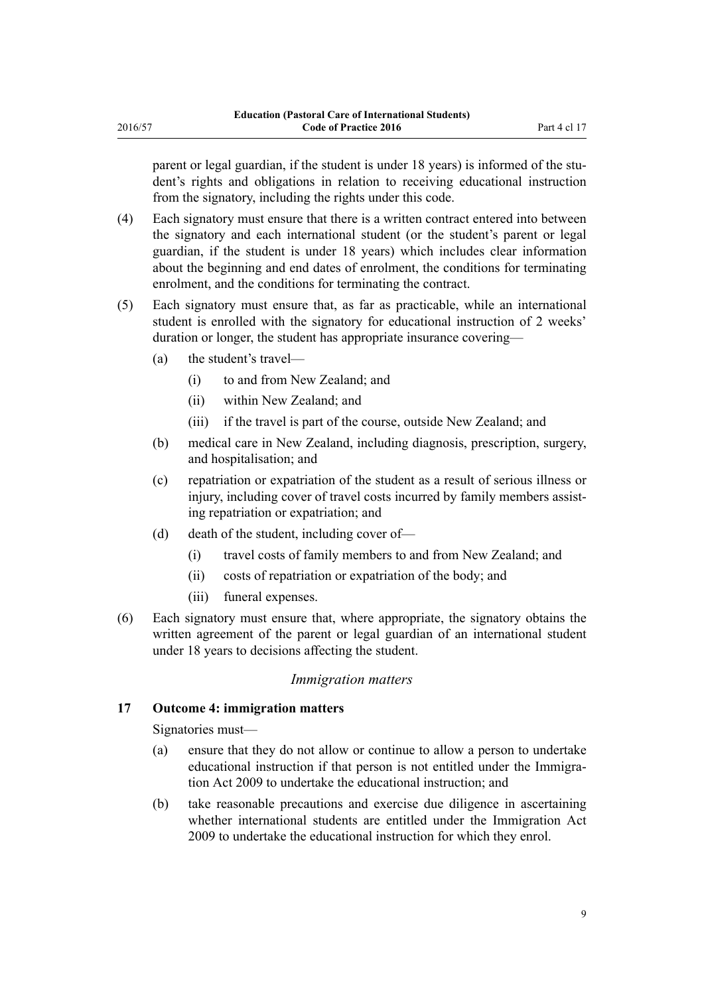<span id="page-8-0"></span>parent or legal guardian, if the student is under 18 years) is informed of the student's rights and obligations in relation to receiving educational instruction from the signatory, including the rights under this code.

- (4) Each signatory must ensure that there is a written contract entered into between the signatory and each international student (or the student's parent or legal guardian, if the student is under 18 years) which includes clear information about the beginning and end dates of enrolment, the conditions for terminating enrolment, and the conditions for terminating the contract.
- (5) Each signatory must ensure that, as far as practicable, while an international student is enrolled with the signatory for educational instruction of 2 weeks' duration or longer, the student has appropriate insurance covering—
	- (a) the student's travel—
		- (i) to and from New Zealand; and
		- (ii) within New Zealand; and
		- (iii) if the travel is part of the course, outside New Zealand; and
	- (b) medical care in New Zealand, including diagnosis, prescription, surgery, and hospitalisation; and
	- (c) repatriation or expatriation of the student as a result of serious illness or injury, including cover of travel costs incurred by family members assisting repatriation or expatriation; and
	- (d) death of the student, including cover of—
		- (i) travel costs of family members to and from New Zealand; and
		- (ii) costs of repatriation or expatriation of the body; and
		- (iii) funeral expenses.
- (6) Each signatory must ensure that, where appropriate, the signatory obtains the written agreement of the parent or legal guardian of an international student under 18 years to decisions affecting the student.

## *Immigration matters*

## **17 Outcome 4: immigration matters**

Signatories must—

- (a) ensure that they do not allow or continue to allow a person to undertake educational instruction if that person is not entitled under the [Immigra](http://prd-lgnz-nlb.prd.pco.net.nz/pdflink.aspx?id=DLM1440300)[tion Act 2009](http://prd-lgnz-nlb.prd.pco.net.nz/pdflink.aspx?id=DLM1440300) to undertake the educational instruction; and
- (b) take reasonable precautions and exercise due diligence in ascertaining whether international students are entitled under the [Immigration Act](http://prd-lgnz-nlb.prd.pco.net.nz/pdflink.aspx?id=DLM1440300) [2009](http://prd-lgnz-nlb.prd.pco.net.nz/pdflink.aspx?id=DLM1440300) to undertake the educational instruction for which they enrol.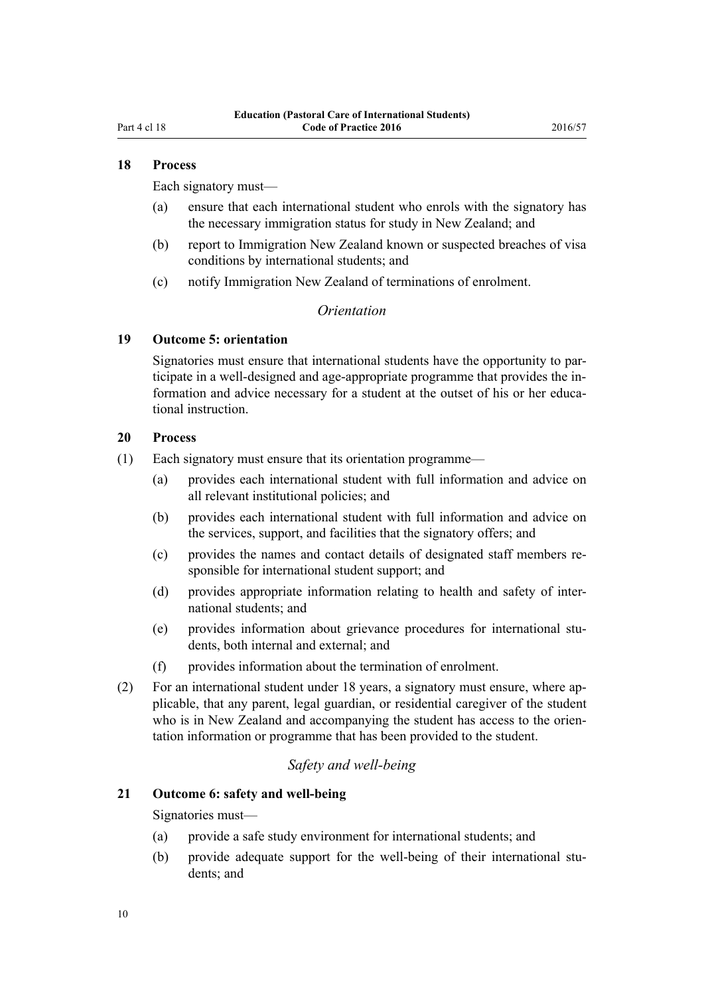### <span id="page-9-0"></span>**18 Process**

Each signatory must—

- (a) ensure that each international student who enrols with the signatory has the necessary immigration status for study in New Zealand; and
- (b) report to Immigration New Zealand known or suspected breaches of visa conditions by international students; and
- (c) notify Immigration New Zealand of terminations of enrolment.

#### *Orientation*

#### **19 Outcome 5: orientation**

Signatories must ensure that international students have the opportunity to participate in a well-designed and age-appropriate programme that provides the information and advice necessary for a student at the outset of his or her educational instruction.

#### **20 Process**

- (1) Each signatory must ensure that its orientation programme—
	- (a) provides each international student with full information and advice on all relevant institutional policies; and
	- (b) provides each international student with full information and advice on the services, support, and facilities that the signatory offers; and
	- (c) provides the names and contact details of designated staff members responsible for international student support; and
	- (d) provides appropriate information relating to health and safety of international students; and
	- (e) provides information about grievance procedures for international students, both internal and external; and
	- (f) provides information about the termination of enrolment.
- (2) For an international student under 18 years, a signatory must ensure, where applicable, that any parent, legal guardian, or residential caregiver of the student who is in New Zealand and accompanying the student has access to the orientation information or programme that has been provided to the student.

#### *Safety and well-being*

#### **21 Outcome 6: safety and well-being**

Signatories must—

- (a) provide a safe study environment for international students; and
- (b) provide adequate support for the well-being of their international students; and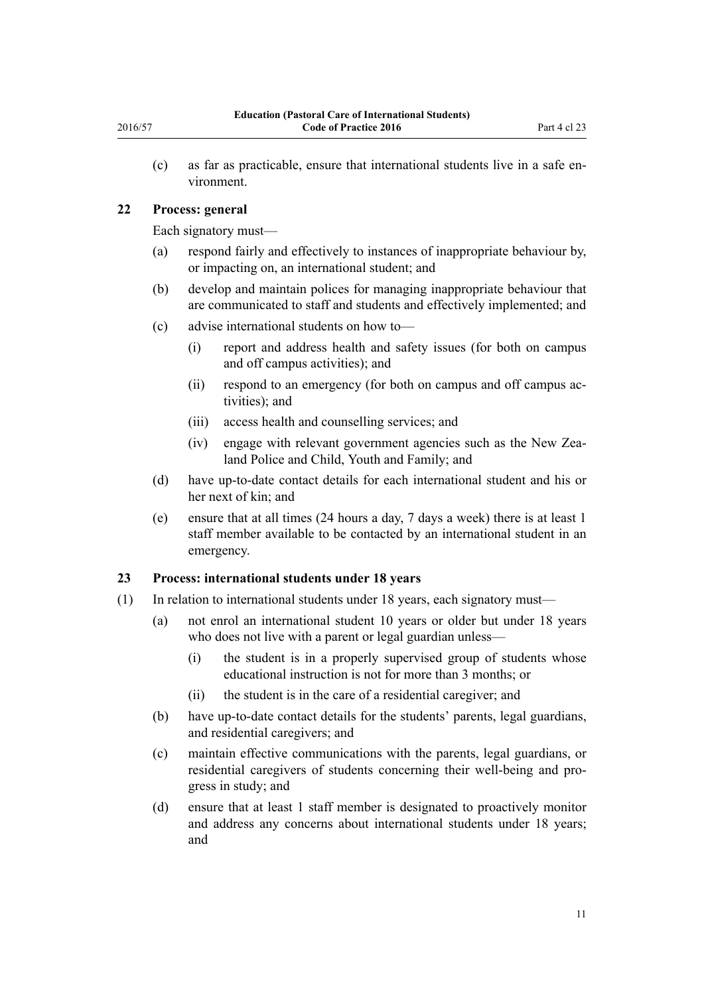<span id="page-10-0"></span>(c) as far as practicable, ensure that international students live in a safe environment.

### **22 Process: general**

Each signatory must—

- (a) respond fairly and effectively to instances of inappropriate behaviour by, or impacting on, an international student; and
- (b) develop and maintain polices for managing inappropriate behaviour that are communicated to staff and students and effectively implemented; and
- (c) advise international students on how to—
	- (i) report and address health and safety issues (for both on campus and off campus activities); and
	- (ii) respond to an emergency (for both on campus and off campus activities); and
	- (iii) access health and counselling services; and
	- (iv) engage with relevant government agencies such as the New Zealand Police and Child, Youth and Family; and
- (d) have up-to-date contact details for each international student and his or her next of kin; and
- (e) ensure that at all times (24 hours a day, 7 days a week) there is at least 1 staff member available to be contacted by an international student in an emergency.

## **23 Process: international students under 18 years**

- (1) In relation to international students under 18 years, each signatory must—
	- (a) not enrol an international student 10 years or older but under 18 years who does not live with a parent or legal guardian unless—
		- (i) the student is in a properly supervised group of students whose educational instruction is not for more than 3 months; or
		- (ii) the student is in the care of a residential caregiver; and
	- (b) have up-to-date contact details for the students' parents, legal guardians, and residential caregivers; and
	- (c) maintain effective communications with the parents, legal guardians, or residential caregivers of students concerning their well-being and progress in study; and
	- (d) ensure that at least 1 staff member is designated to proactively monitor and address any concerns about international students under 18 years; and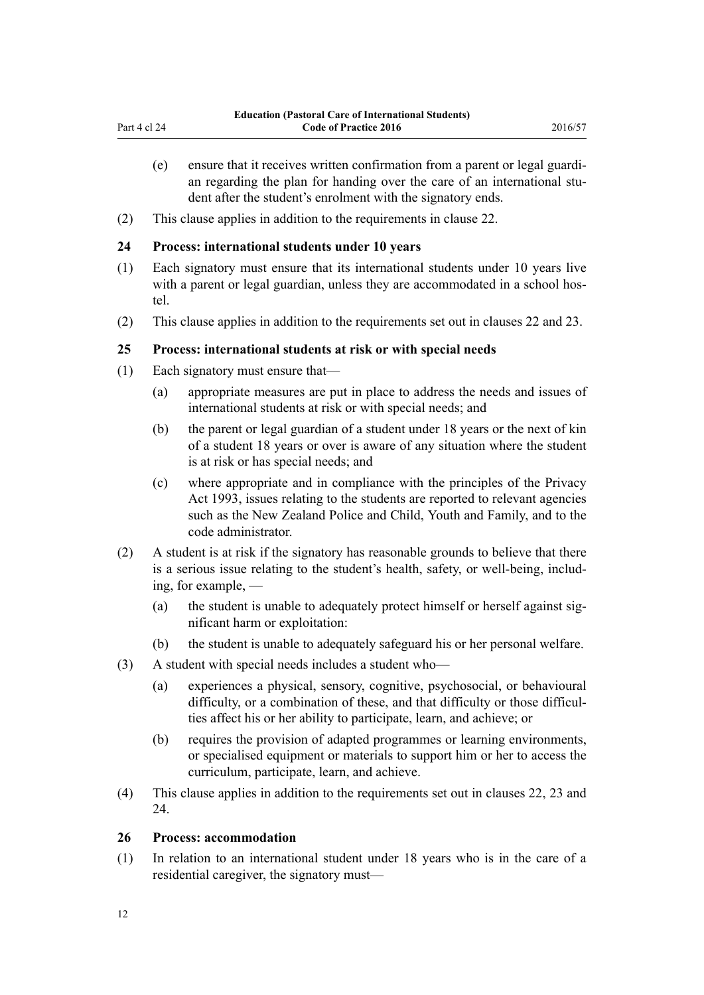- <span id="page-11-0"></span>(e) ensure that it receives written confirmation from a parent or legal guardian regarding the plan for handing over the care of an international student after the student's enrolment with the signatory ends.
- (2) This clause applies in addition to the requirements in [clause 22.](#page-10-0)

### **24 Process: international students under 10 years**

- (1) Each signatory must ensure that its international students under 10 years live with a parent or legal guardian, unless they are accommodated in a school hostel.
- (2) This clause applies in addition to the requirements set out in [clauses 22](#page-10-0) and [23](#page-10-0).

## **25 Process: international students at risk or with special needs**

- (1) Each signatory must ensure that—
	- (a) appropriate measures are put in place to address the needs and issues of international students at risk or with special needs; and
	- (b) the parent or legal guardian of a student under 18 years or the next of kin of a student 18 years or over is aware of any situation where the student is at risk or has special needs; and
	- (c) where appropriate and in compliance with the principles of the [Privacy](http://prd-lgnz-nlb.prd.pco.net.nz/pdflink.aspx?id=DLM296638) [Act 1993,](http://prd-lgnz-nlb.prd.pco.net.nz/pdflink.aspx?id=DLM296638) issues relating to the students are reported to relevant agencies such as the New Zealand Police and Child, Youth and Family, and to the code administrator.
- (2) A student is at risk if the signatory has reasonable grounds to believe that there is a serious issue relating to the student's health, safety, or well-being, including, for example, —
	- (a) the student is unable to adequately protect himself or herself against significant harm or exploitation:
	- (b) the student is unable to adequately safeguard his or her personal welfare.
- (3) A student with special needs includes a student who—
	- (a) experiences a physical, sensory, cognitive, psychosocial, or behavioural difficulty, or a combination of these, and that difficulty or those difficulties affect his or her ability to participate, learn, and achieve; or
	- (b) requires the provision of adapted programmes or learning environments, or specialised equipment or materials to support him or her to access the curriculum, participate, learn, and achieve.
- (4) This clause applies in addition to the requirements set out in [clauses 22,](#page-10-0) [23](#page-10-0) and 24.

## **26 Process: accommodation**

(1) In relation to an international student under 18 years who is in the care of a residential caregiver, the signatory must—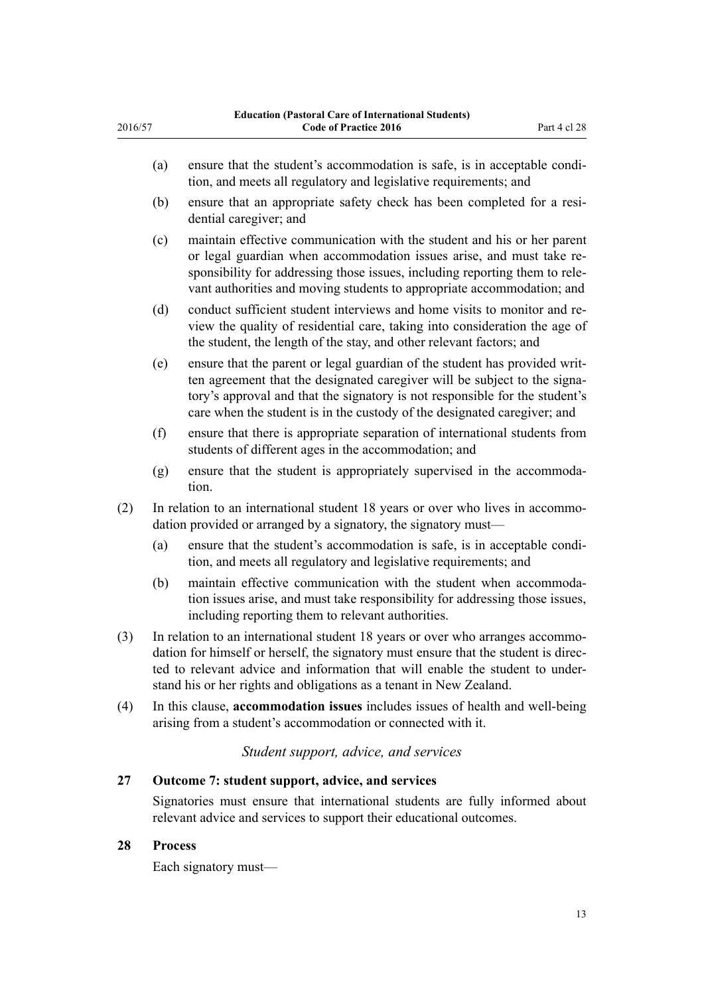- (a) ensure that the student's accommodation is safe, is in acceptable condition, and meets all regulatory and legislative requirements; and
- (b) ensure that an appropriate safety check has been completed for a residential caregiver; and
- (c) maintain effective communication with the student and his or her parent or legal guardian when accommodation issues arise, and must take responsibility for addressing those issues, including reporting them to relevant authorities and moving students to appropriate accommodation; and
- (d) conduct sufficient student interviews and home visits to monitor and review the quality of residential care, taking into consideration the age of the student, the length of the stay, and other relevant factors; and
- (e) ensure that the parent or legal guardian of the student has provided written agreement that the designated caregiver will be subject to the signatory's approval and that the signatory is not responsible for the student's care when the student is in the custody of the designated caregiver; and
- (f) ensure that there is appropriate separation of international students from students of different ages in the accommodation; and
- (g) ensure that the student is appropriately supervised in the accommodation.
- (2) In relation to an international student 18 years or over who lives in accommodation provided or arranged by a signatory, the signatory must—
	- (a) ensure that the student's accommodation is safe, is in acceptable condition, and meets all regulatory and legislative requirements; and
	- (b) maintain effective communication with the student when accommodation issues arise, and must take responsibility for addressing those issues, including reporting them to relevant authorities.
- (3) In relation to an international student 18 years or over who arranges accommodation for himself or herself, the signatory must ensure that the student is directed to relevant advice and information that will enable the student to understand his or her rights and obligations as a tenant in New Zealand.
- (4) In this clause, **accommodation issues** includes issues of health and well-being arising from a student's accommodation or connected with it.

*Student support, advice, and services*

## **27 Outcome 7: student support, advice, and services**

Signatories must ensure that international students are fully informed about relevant advice and services to support their educational outcomes.

## **28 Process**

<span id="page-12-0"></span>2016/57

Each signatory must—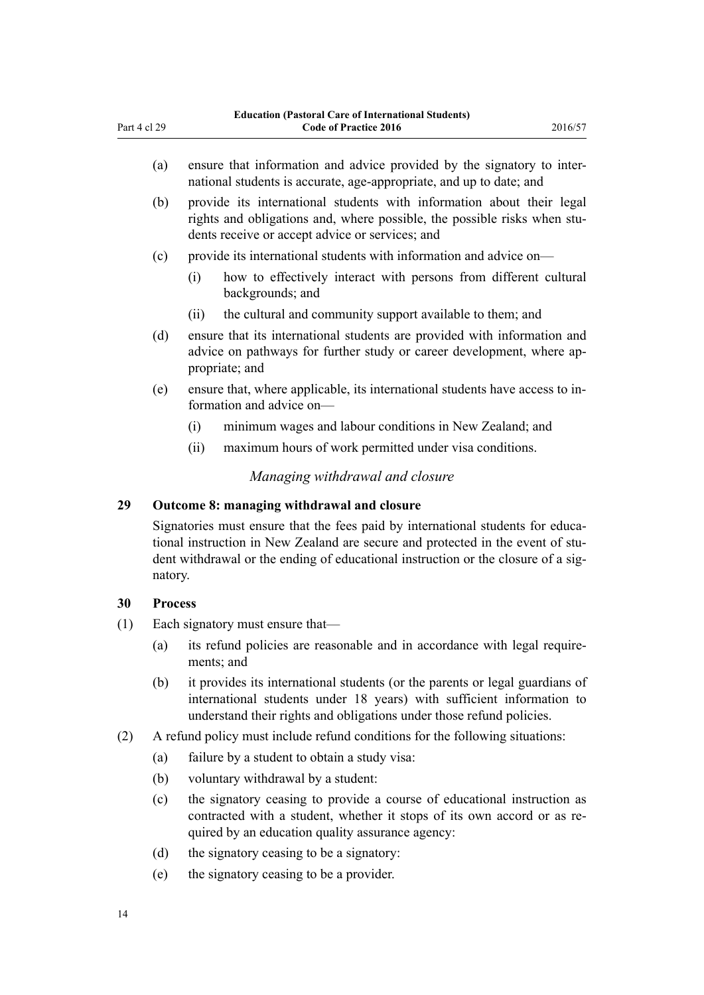- <span id="page-13-0"></span>(a) ensure that information and advice provided by the signatory to international students is accurate, age-appropriate, and up to date; and
- (b) provide its international students with information about their legal rights and obligations and, where possible, the possible risks when students receive or accept advice or services; and
- (c) provide its international students with information and advice on—
	- (i) how to effectively interact with persons from different cultural backgrounds; and
	- (ii) the cultural and community support available to them; and
- (d) ensure that its international students are provided with information and advice on pathways for further study or career development, where appropriate; and
- (e) ensure that, where applicable, its international students have access to information and advice on—
	- (i) minimum wages and labour conditions in New Zealand; and
	- (ii) maximum hours of work permitted under visa conditions.

#### *Managing withdrawal and closure*

#### **29 Outcome 8: managing withdrawal and closure**

Signatories must ensure that the fees paid by international students for educational instruction in New Zealand are secure and protected in the event of student withdrawal or the ending of educational instruction or the closure of a signatory.

#### **30 Process**

- (1) Each signatory must ensure that—
	- (a) its refund policies are reasonable and in accordance with legal requirements; and
	- (b) it provides its international students (or the parents or legal guardians of international students under 18 years) with sufficient information to understand their rights and obligations under those refund policies.
- (2) A refund policy must include refund conditions for the following situations:
	- (a) failure by a student to obtain a study visa:
	- (b) voluntary withdrawal by a student:
	- (c) the signatory ceasing to provide a course of educational instruction as contracted with a student, whether it stops of its own accord or as required by an education quality assurance agency:
	- (d) the signatory ceasing to be a signatory:
	- (e) the signatory ceasing to be a provider.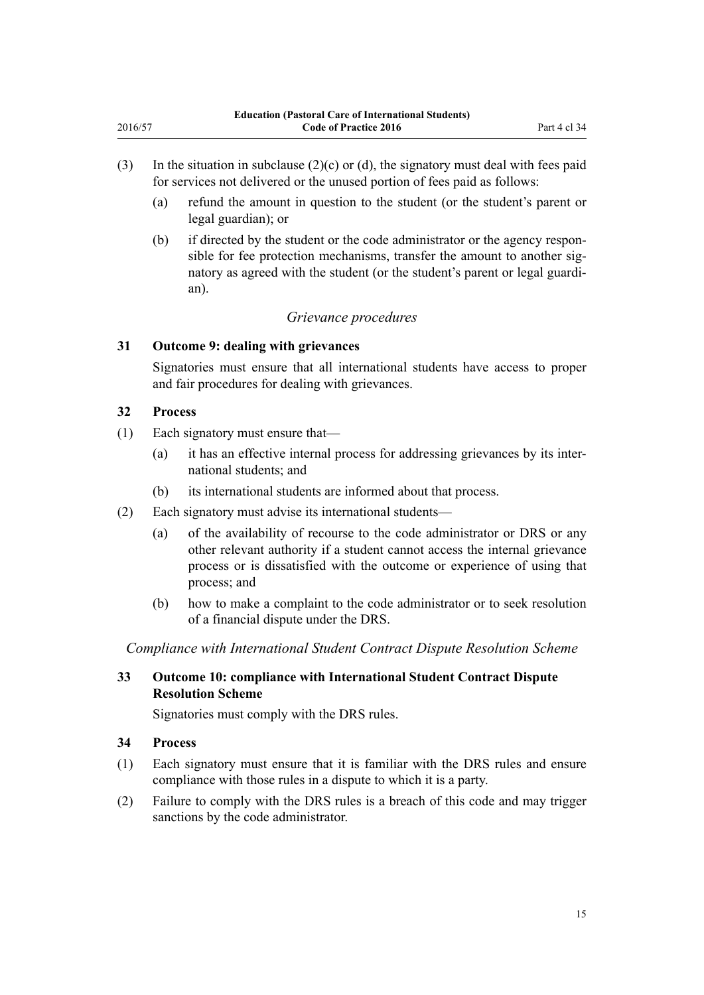- <span id="page-14-0"></span>(3) In the situation in subclause  $(2)(c)$  or (d), the signatory must deal with fees paid for services not delivered or the unused portion of fees paid as follows:
	- (a) refund the amount in question to the student (or the student's parent or legal guardian); or
	- (b) if directed by the student or the code administrator or the agency responsible for fee protection mechanisms, transfer the amount to another signatory as agreed with the student (or the student's parent or legal guardian).

## *Grievance procedures*

#### **31 Outcome 9: dealing with grievances**

Signatories must ensure that all international students have access to proper and fair procedures for dealing with grievances.

### **32 Process**

- (1) Each signatory must ensure that—
	- (a) it has an effective internal process for addressing grievances by its international students; and
	- (b) its international students are informed about that process.
- (2) Each signatory must advise its international students—
	- (a) of the availability of recourse to the code administrator or DRS or any other relevant authority if a student cannot access the internal grievance process or is dissatisfied with the outcome or experience of using that process; and
	- (b) how to make a complaint to the code administrator or to seek resolution of a financial dispute under the DRS.

*Compliance with International Student Contract Dispute Resolution Scheme*

## **33 Outcome 10: compliance with International Student Contract Dispute Resolution Scheme**

Signatories must comply with the DRS rules.

#### **34 Process**

- (1) Each signatory must ensure that it is familiar with the DRS rules and ensure compliance with those rules in a dispute to which it is a party.
- (2) Failure to comply with the DRS rules is a breach of this code and may trigger sanctions by the code administrator.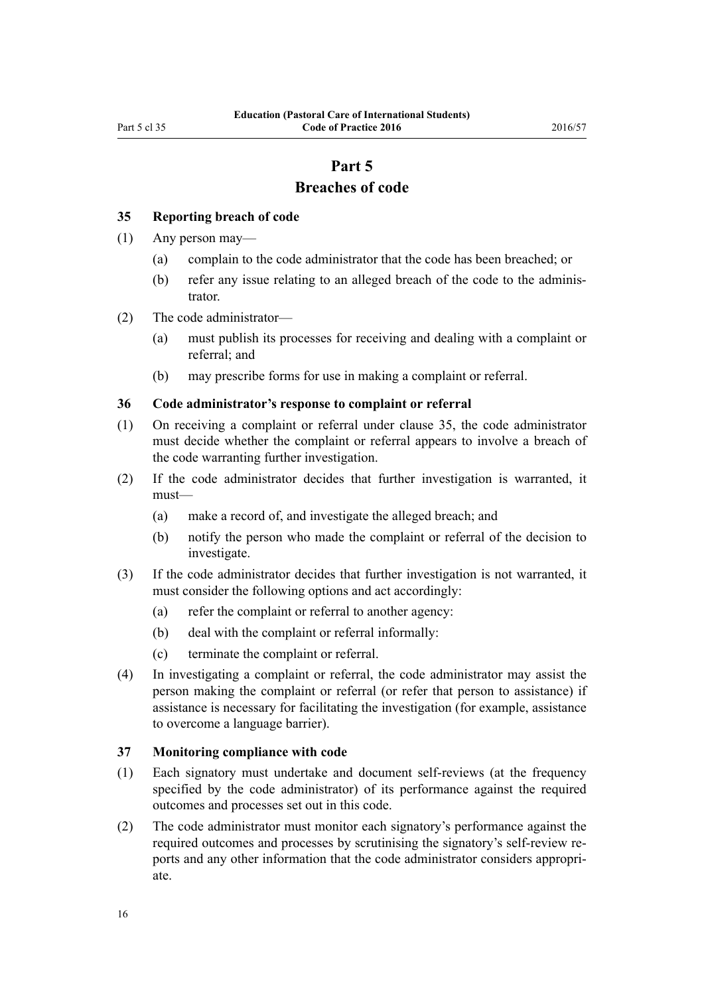## **Part 5 Breaches of code**

#### <span id="page-15-0"></span>**35 Reporting breach of code**

- (1) Any person may—
	- (a) complain to the code administrator that the code has been breached; or
	- (b) refer any issue relating to an alleged breach of the code to the administrator.
- (2) The code administrator—
	- (a) must publish its processes for receiving and dealing with a complaint or referral; and
	- (b) may prescribe forms for use in making a complaint or referral.

#### **36 Code administrator's response to complaint or referral**

- (1) On receiving a complaint or referral under clause 35, the code administrator must decide whether the complaint or referral appears to involve a breach of the code warranting further investigation.
- (2) If the code administrator decides that further investigation is warranted, it must—
	- (a) make a record of, and investigate the alleged breach; and
	- (b) notify the person who made the complaint or referral of the decision to investigate.
- (3) If the code administrator decides that further investigation is not warranted, it must consider the following options and act accordingly:
	- (a) refer the complaint or referral to another agency:
	- (b) deal with the complaint or referral informally:
	- (c) terminate the complaint or referral.
- (4) In investigating a complaint or referral, the code administrator may assist the person making the complaint or referral (or refer that person to assistance) if assistance is necessary for facilitating the investigation (for example, assistance to overcome a language barrier).

#### **37 Monitoring compliance with code**

- (1) Each signatory must undertake and document self-reviews (at the frequency specified by the code administrator) of its performance against the required outcomes and processes set out in this code.
- (2) The code administrator must monitor each signatory's performance against the required outcomes and processes by scrutinising the signatory's self-review reports and any other information that the code administrator considers appropriate.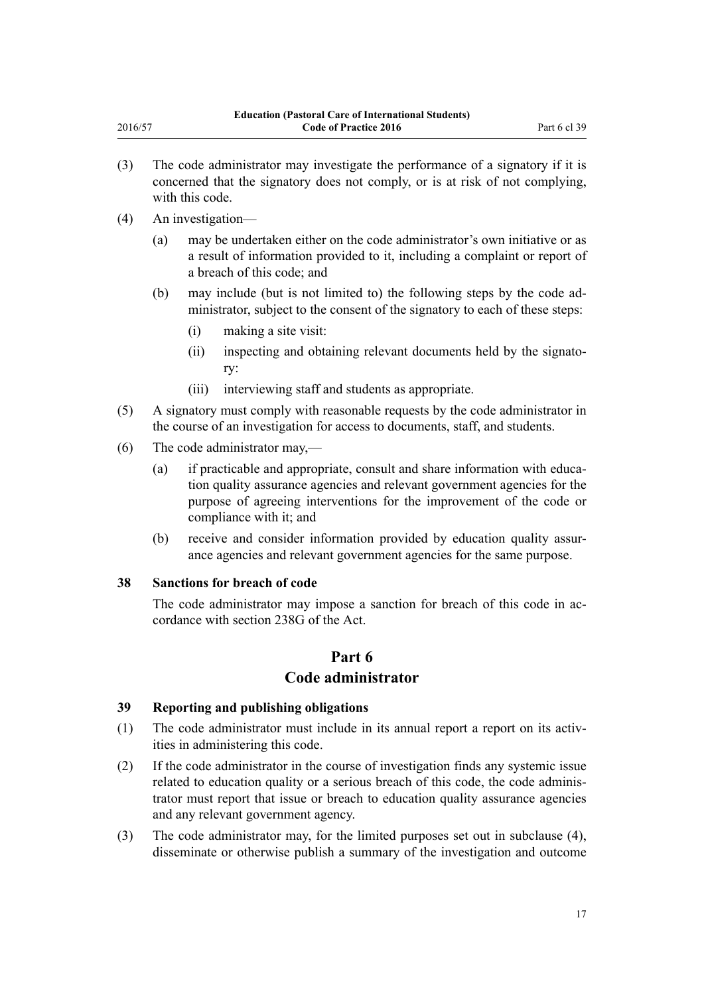- <span id="page-16-0"></span>(3) The code administrator may investigate the performance of a signatory if it is concerned that the signatory does not comply, or is at risk of not complying, with this code.
- (4) An investigation—
	- (a) may be undertaken either on the code administrator's own initiative or as a result of information provided to it, including a complaint or report of a breach of this code; and
	- (b) may include (but is not limited to) the following steps by the code administrator, subject to the consent of the signatory to each of these steps:
		- (i) making a site visit:
		- (ii) inspecting and obtaining relevant documents held by the signatory:
		- (iii) interviewing staff and students as appropriate.
- (5) A signatory must comply with reasonable requests by the code administrator in the course of an investigation for access to documents, staff, and students.
- (6) The code administrator may,—
	- (a) if practicable and appropriate, consult and share information with education quality assurance agencies and relevant government agencies for the purpose of agreeing interventions for the improvement of the code or compliance with it; and
	- (b) receive and consider information provided by education quality assurance agencies and relevant government agencies for the same purpose.

## **38 Sanctions for breach of code**

The code administrator may impose a sanction for breach of this code in accordance with [section 238G](http://prd-lgnz-nlb.prd.pco.net.nz/pdflink.aspx?id=DLM185929) of the Act.

## **Part 6 Code administrator**

#### **39 Reporting and publishing obligations**

- (1) The code administrator must include in its annual report a report on its activities in administering this code.
- (2) If the code administrator in the course of investigation finds any systemic issue related to education quality or a serious breach of this code, the code administrator must report that issue or breach to education quality assurance agencies and any relevant government agency.
- (3) The code administrator may, for the limited purposes set out in subclause (4), disseminate or otherwise publish a summary of the investigation and outcome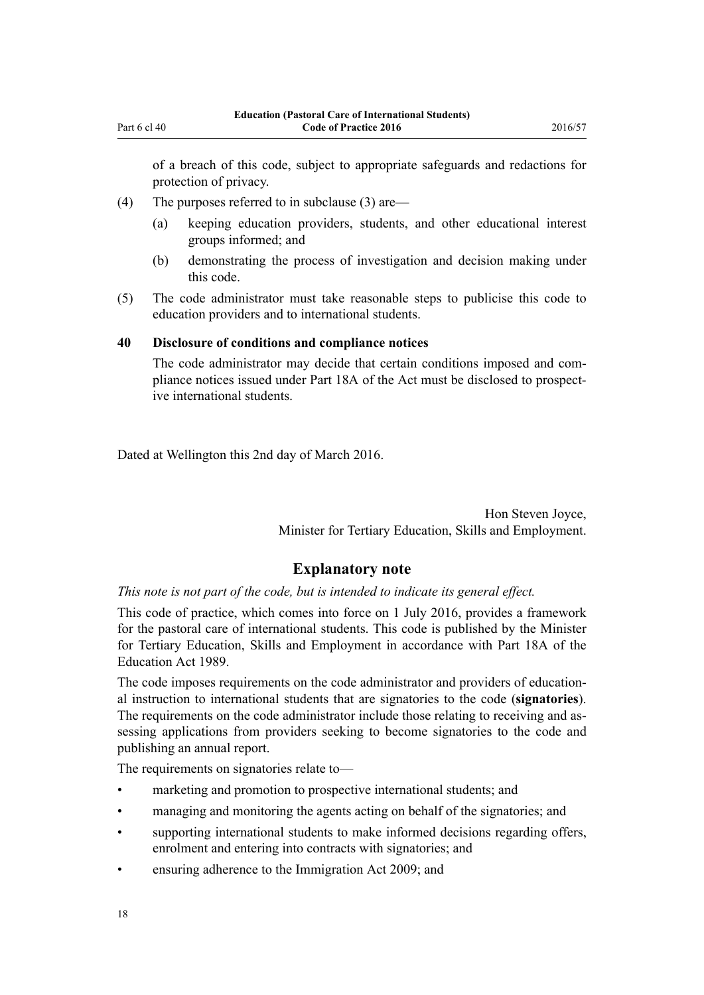<span id="page-17-0"></span>of a breach of this code, subject to appropriate safeguards and redactions for protection of privacy.

- (4) The purposes referred to in subclause (3) are—
	- (a) keeping education providers, students, and other educational interest groups informed; and
	- (b) demonstrating the process of investigation and decision making under this code.
- (5) The code administrator must take reasonable steps to publicise this code to education providers and to international students.

#### **40 Disclosure of conditions and compliance notices**

The code administrator may decide that certain conditions imposed and compliance notices issued under [Part 18A](http://prd-lgnz-nlb.prd.pco.net.nz/pdflink.aspx?id=DLM185904) of the Act must be disclosed to prospective international students.

Dated at Wellington this 2nd day of March 2016.

Hon Steven Joyce, Minister for Tertiary Education, Skills and Employment.

## **Explanatory note**

*This note is not part of the code, but is intended to indicate its general effect.*

This code of practice, which comes into force on 1 July 2016, provides a framework for the pastoral care of international students. This code is published by the Minister for Tertiary Education, Skills and Employment in accordance with [Part 18A](http://prd-lgnz-nlb.prd.pco.net.nz/pdflink.aspx?id=DLM185904) of the Education Act 1989.

The code imposes requirements on the code administrator and providers of educational instruction to international students that are signatories to the code (**signatories**). The requirements on the code administrator include those relating to receiving and assessing applications from providers seeking to become signatories to the code and publishing an annual report.

The requirements on signatories relate to—

- marketing and promotion to prospective international students; and
- managing and monitoring the agents acting on behalf of the signatories; and
- supporting international students to make informed decisions regarding offers, enrolment and entering into contracts with signatories; and
- ensuring adherence to the [Immigration Act 2009;](http://prd-lgnz-nlb.prd.pco.net.nz/pdflink.aspx?id=DLM1440300) and